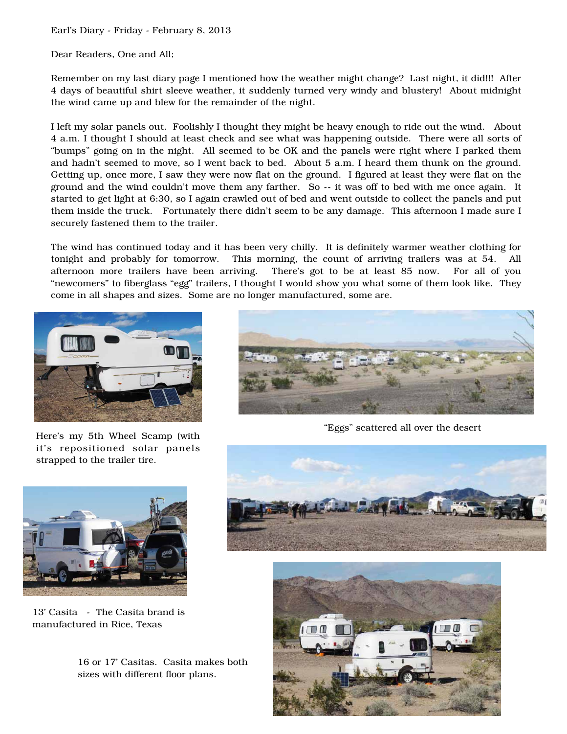Earl's Diary - Friday - February 8, 2013

Dear Readers, One and All;

Remember on my last diary page I mentioned how the weather might change? Last night, it did!!! After 4 days of beautiful shirt sleeve weather, it suddenly turned very windy and blustery! About midnight the wind came up and blew for the remainder of the night.

I left my solar panels out. Foolishly I thought they might be heavy enough to ride out the wind. About 4 a.m. I thought I should at least check and see what was happening outside. There were all sorts of "bumps" going on in the night. All seemed to be OK and the panels were right where I parked them and hadn't seemed to move, so I went back to bed. About 5 a.m. I heard them thunk on the ground. Getting up, once more, I saw they were now flat on the ground. I figured at least they were flat on the ground and the wind couldn't move them any farther. So -- it was off to bed with me once again. It started to get light at 6:30, so I again crawled out of bed and went outside to collect the panels and put them inside the truck. Fortunately there didn't seem to be any damage. This afternoon I made sure I securely fastened them to the trailer.

The wind has continued today and it has been very chilly. It is definitely warmer weather clothing for tonight and probably for tomorrow. This morning, the count of arriving trailers was at 54. All afternoon more trailers have been arriving. There's got to be at least 85 now. For all of you "newcomers" to fiberglass "egg" trailers, I thought I would show you what some of them look like. They come in all shapes and sizes. Some are no longer manufactured, some are.



Here's my 5th Wheel Scamp (with it's repositioned solar panels strapped to the trailer tire.



"Eggs" scattered all over the desert



13' Casita - The Casita brand is manufactured in Rice, Texas

16 or 17' Casitas. Casita makes both sizes with different floor plans.



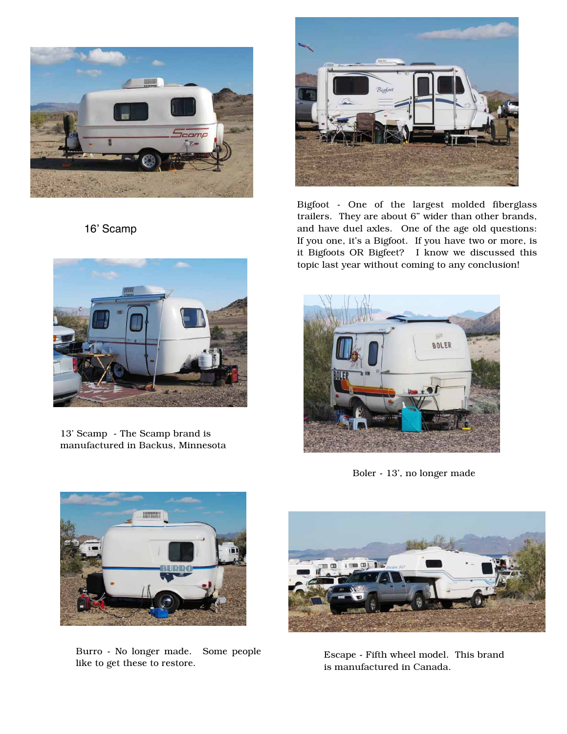

16' Scamp



Bigfoot - One of the largest molded fiberglass trailers. They are about 6" wider than other brands, and have duel axles. One of the age old questions: If you one, it's a Bigfoot. If you have two or more, is it Bigfoots OR Bigfeet? I know we discussed this topic last year without coming to any conclusion!



13' Scamp - The Scamp brand is manufactured in Backus, Minnesota



Boler - 13', no longer made



Burro - No longer made. Some people Burro - No longer made. Some people<br>like to get these to restore.<br>is manufactured in Canada



is manufactured in Canada.